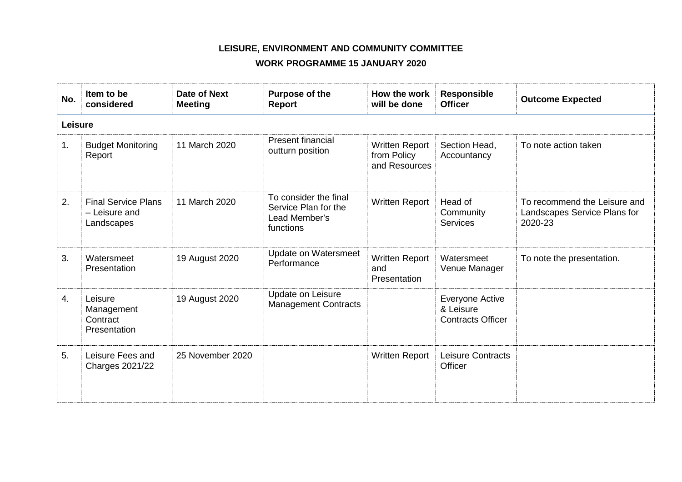## **LEISURE, ENVIRONMENT AND COMMUNITY COMMITTEE**

## **WORK PROGRAMME 15 JANUARY 2020**

| No. | Item to be<br>considered                                  | Date of Next<br><b>Meeting</b> | Purpose of the<br>Report                                                    | How the work<br>will be done                          | <b>Responsible</b><br><b>Officer</b>                            | <b>Outcome Expected</b>                                                 |  |  |
|-----|-----------------------------------------------------------|--------------------------------|-----------------------------------------------------------------------------|-------------------------------------------------------|-----------------------------------------------------------------|-------------------------------------------------------------------------|--|--|
|     | Leisure                                                   |                                |                                                                             |                                                       |                                                                 |                                                                         |  |  |
| 1.  | <b>Budget Monitoring</b><br>Report                        | 11 March 2020                  | <b>Present financial</b><br>outturn position                                | <b>Written Report</b><br>from Policy<br>and Resources | Section Head,<br>Accountancy                                    | To note action taken                                                    |  |  |
| 2.  | <b>Final Service Plans</b><br>- Leisure and<br>Landscapes | 11 March 2020                  | To consider the final<br>Service Plan for the<br>Lead Member's<br>functions | <b>Written Report</b>                                 | Head of<br>Community<br><b>Services</b>                         | To recommend the Leisure and<br>Landscapes Service Plans for<br>2020-23 |  |  |
| 3.  | Watersmeet<br>Presentation                                | 19 August 2020                 | <b>Update on Watersmeet</b><br>Performance                                  | <b>Written Report</b><br>and<br>Presentation          | Watersmeet<br>Venue Manager                                     | To note the presentation.                                               |  |  |
| 4.  | Leisure<br>Management<br>Contract<br>Presentation         | 19 August 2020                 | Update on Leisure<br><b>Management Contracts</b>                            |                                                       | <b>Everyone Active</b><br>& Leisure<br><b>Contracts Officer</b> |                                                                         |  |  |
| 5.  | Leisure Fees and<br><b>Charges 2021/22</b>                | 25 November 2020               |                                                                             | Written Report                                        | Leisure Contracts<br>Officer                                    |                                                                         |  |  |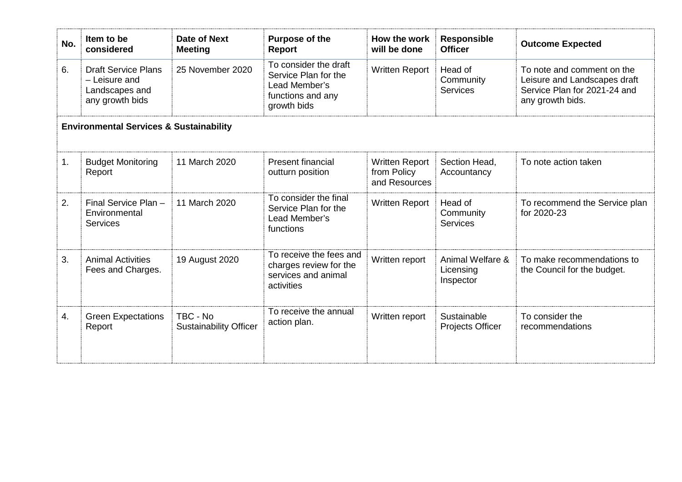| No.                                                | Item to be<br>considered                                                         | Date of Next<br><b>Meeting</b>            | Purpose of the<br>Report                                                                           | How the work<br>will be done                          | <b>Responsible</b><br><b>Officer</b>       | <b>Outcome Expected</b>                                                                                        |  |
|----------------------------------------------------|----------------------------------------------------------------------------------|-------------------------------------------|----------------------------------------------------------------------------------------------------|-------------------------------------------------------|--------------------------------------------|----------------------------------------------------------------------------------------------------------------|--|
| 6.                                                 | <b>Draft Service Plans</b><br>- Leisure and<br>Landscapes and<br>any growth bids | 25 November 2020                          | To consider the draft<br>Service Plan for the<br>Lead Member's<br>functions and any<br>growth bids | <b>Written Report</b>                                 | Head of<br>Community<br>Services           | To note and comment on the<br>Leisure and Landscapes draft<br>Service Plan for 2021-24 and<br>any growth bids. |  |
| <b>Environmental Services &amp; Sustainability</b> |                                                                                  |                                           |                                                                                                    |                                                       |                                            |                                                                                                                |  |
| 1.                                                 | <b>Budget Monitoring</b><br>Report                                               | 11 March 2020                             | <b>Present financial</b><br>outturn position                                                       | <b>Written Report</b><br>from Policy<br>and Resources | Section Head,<br>Accountancy               | To note action taken                                                                                           |  |
| 2.                                                 | Final Service Plan -<br>Environmental<br><b>Services</b>                         | 11 March 2020                             | To consider the final<br>Service Plan for the<br>Lead Member's<br>functions                        | <b>Written Report</b>                                 | Head of<br>Community<br><b>Services</b>    | To recommend the Service plan<br>for 2020-23                                                                   |  |
| 3.                                                 | <b>Animal Activities</b><br>Fees and Charges.                                    | 19 August 2020                            | To receive the fees and<br>charges review for the<br>services and animal<br>activities             | Written report                                        | Animal Welfare &<br>Licensing<br>Inspector | To make recommendations to<br>the Council for the budget.                                                      |  |
| 4.                                                 | <b>Green Expectations</b><br>Report                                              | TBC - No<br><b>Sustainability Officer</b> | To receive the annual<br>action plan.                                                              | Written report                                        | Sustainable<br><b>Projects Officer</b>     | To consider the<br>recommendations                                                                             |  |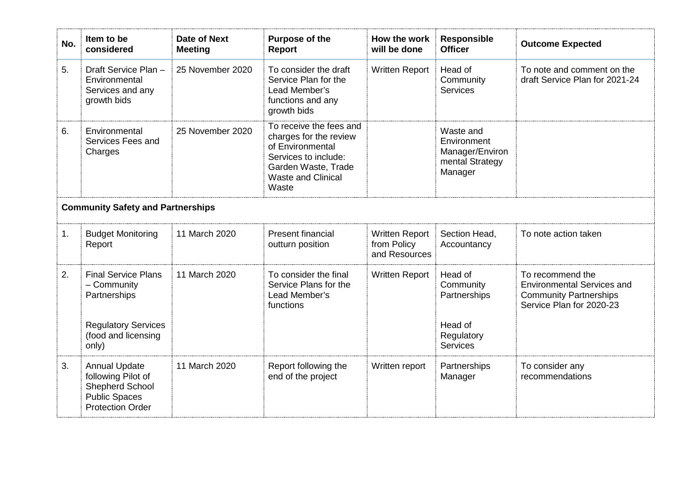| No.                                      | Item to be<br>considered                                                                                                | <b>Date of Next</b><br><b>Meeting</b> | <b>Purpose of the</b><br><b>Report</b>                                                                                                                     | How the work<br>will be done                          | Responsible<br><b>Officer</b>                                                    | <b>Outcome Expected</b>                                                                                            |  |
|------------------------------------------|-------------------------------------------------------------------------------------------------------------------------|---------------------------------------|------------------------------------------------------------------------------------------------------------------------------------------------------------|-------------------------------------------------------|----------------------------------------------------------------------------------|--------------------------------------------------------------------------------------------------------------------|--|
| 5.                                       | Draft Service Plan-<br>Environmental<br>Services and any<br>growth bids                                                 | 25 November 2020                      | To consider the draft<br>Service Plan for the<br>Lead Member's<br>functions and any<br>growth bids                                                         | <b>Written Report</b>                                 | Head of<br>Community<br><b>Services</b>                                          | To note and comment on the<br>draft Service Plan for 2021-24                                                       |  |
| 6.                                       | Environmental<br>Services Fees and<br>Charges                                                                           | 25 November 2020                      | To receive the fees and<br>charges for the review<br>of Environmental<br>Services to include:<br>Garden Waste, Trade<br><b>Waste and Clinical</b><br>Waste |                                                       | Waste and<br>Environment<br>Manager/Environ<br>mental Strategy<br>Manager        |                                                                                                                    |  |
| <b>Community Safety and Partnerships</b> |                                                                                                                         |                                       |                                                                                                                                                            |                                                       |                                                                                  |                                                                                                                    |  |
| 1.                                       | <b>Budget Monitoring</b><br>Report                                                                                      | 11 March 2020                         | <b>Present financial</b><br>outturn position                                                                                                               | <b>Written Report</b><br>from Policy<br>and Resources | Section Head,<br>Accountancy                                                     | To note action taken                                                                                               |  |
| 2.                                       | <b>Final Service Plans</b><br>- Community<br>Partnerships<br><b>Regulatory Services</b><br>(food and licensing<br>only) | 11 March 2020                         | To consider the final<br>Service Plans for the<br>Lead Member's<br>functions                                                                               | <b>Written Report</b>                                 | Head of<br>Community<br>Partnerships<br>Head of<br>Regulatory<br><b>Services</b> | To recommend the<br><b>Environmental Services and</b><br><b>Community Partnerships</b><br>Service Plan for 2020-23 |  |
| 3.                                       | <b>Annual Update</b><br>following Pilot of<br>Shepherd School<br><b>Public Spaces</b><br><b>Protection Order</b>        | 11 March 2020                         | Report following the<br>end of the project                                                                                                                 | Written report                                        | Partnerships<br>Manager                                                          | To consider any<br>recommendations                                                                                 |  |